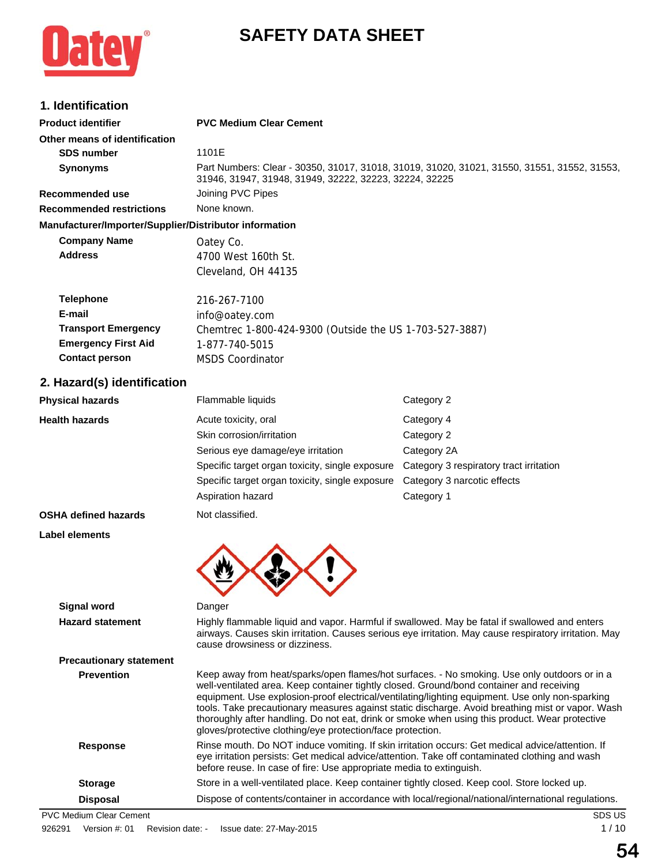# **SAFETY DATA SHEET**



# **1. Identification**

| <b>Product identifier</b>                              | <b>PVC Medium Clear Cement</b>                                                                                                                                                                                                                                            |                                                                                                                                                                                                                                                                                                                                                                                                       |  |
|--------------------------------------------------------|---------------------------------------------------------------------------------------------------------------------------------------------------------------------------------------------------------------------------------------------------------------------------|-------------------------------------------------------------------------------------------------------------------------------------------------------------------------------------------------------------------------------------------------------------------------------------------------------------------------------------------------------------------------------------------------------|--|
| Other means of identification                          |                                                                                                                                                                                                                                                                           |                                                                                                                                                                                                                                                                                                                                                                                                       |  |
| <b>SDS number</b>                                      | 1101E                                                                                                                                                                                                                                                                     |                                                                                                                                                                                                                                                                                                                                                                                                       |  |
| <b>Synonyms</b>                                        | Part Numbers: Clear - 30350, 31017, 31018, 31019, 31020, 31021, 31550, 31551, 31552, 31553,<br>31946, 31947, 31948, 31949, 32222, 32223, 32224, 32225                                                                                                                     |                                                                                                                                                                                                                                                                                                                                                                                                       |  |
| Recommended use                                        | Joining PVC Pipes                                                                                                                                                                                                                                                         |                                                                                                                                                                                                                                                                                                                                                                                                       |  |
| <b>Recommended restrictions</b>                        | None known.                                                                                                                                                                                                                                                               |                                                                                                                                                                                                                                                                                                                                                                                                       |  |
| Manufacturer/Importer/Supplier/Distributor information |                                                                                                                                                                                                                                                                           |                                                                                                                                                                                                                                                                                                                                                                                                       |  |
| <b>Company Name</b>                                    | Oatey Co.                                                                                                                                                                                                                                                                 |                                                                                                                                                                                                                                                                                                                                                                                                       |  |
| <b>Address</b>                                         | 4700 West 160th St.                                                                                                                                                                                                                                                       |                                                                                                                                                                                                                                                                                                                                                                                                       |  |
|                                                        | Cleveland, OH 44135                                                                                                                                                                                                                                                       |                                                                                                                                                                                                                                                                                                                                                                                                       |  |
| <b>Telephone</b>                                       | 216-267-7100                                                                                                                                                                                                                                                              |                                                                                                                                                                                                                                                                                                                                                                                                       |  |
| E-mail                                                 | info@oatey.com                                                                                                                                                                                                                                                            |                                                                                                                                                                                                                                                                                                                                                                                                       |  |
| <b>Transport Emergency</b>                             | Chemtrec 1-800-424-9300 (Outside the US 1-703-527-3887)                                                                                                                                                                                                                   |                                                                                                                                                                                                                                                                                                                                                                                                       |  |
| <b>Emergency First Aid</b>                             | 1-877-740-5015                                                                                                                                                                                                                                                            |                                                                                                                                                                                                                                                                                                                                                                                                       |  |
| <b>Contact person</b>                                  | <b>MSDS Coordinator</b>                                                                                                                                                                                                                                                   |                                                                                                                                                                                                                                                                                                                                                                                                       |  |
| 2. Hazard(s) identification                            |                                                                                                                                                                                                                                                                           |                                                                                                                                                                                                                                                                                                                                                                                                       |  |
| <b>Physical hazards</b>                                | Flammable liquids                                                                                                                                                                                                                                                         | Category 2                                                                                                                                                                                                                                                                                                                                                                                            |  |
| <b>Health hazards</b>                                  | Acute toxicity, oral                                                                                                                                                                                                                                                      | Category 4                                                                                                                                                                                                                                                                                                                                                                                            |  |
|                                                        | Skin corrosion/irritation                                                                                                                                                                                                                                                 | Category 2                                                                                                                                                                                                                                                                                                                                                                                            |  |
|                                                        | Serious eye damage/eye irritation                                                                                                                                                                                                                                         | Category 2A                                                                                                                                                                                                                                                                                                                                                                                           |  |
|                                                        | Specific target organ toxicity, single exposure                                                                                                                                                                                                                           | Category 3 respiratory tract irritation                                                                                                                                                                                                                                                                                                                                                               |  |
|                                                        | Specific target organ toxicity, single exposure                                                                                                                                                                                                                           | Category 3 narcotic effects                                                                                                                                                                                                                                                                                                                                                                           |  |
|                                                        | Aspiration hazard                                                                                                                                                                                                                                                         | Category 1                                                                                                                                                                                                                                                                                                                                                                                            |  |
| <b>OSHA defined hazards</b>                            | Not classified.                                                                                                                                                                                                                                                           |                                                                                                                                                                                                                                                                                                                                                                                                       |  |
| Label elements                                         |                                                                                                                                                                                                                                                                           |                                                                                                                                                                                                                                                                                                                                                                                                       |  |
|                                                        |                                                                                                                                                                                                                                                                           |                                                                                                                                                                                                                                                                                                                                                                                                       |  |
| Signal word                                            | Danger                                                                                                                                                                                                                                                                    |                                                                                                                                                                                                                                                                                                                                                                                                       |  |
| <b>Hazard statement</b>                                | Highly flammable liquid and vapor. Harmful if swallowed. May be fatal if swallowed and enters<br>airways. Causes skin irritation. Causes serious eye irritation. May cause respiratory irritation. May<br>cause drowsiness or dizziness.                                  |                                                                                                                                                                                                                                                                                                                                                                                                       |  |
| <b>Precautionary statement</b>                         |                                                                                                                                                                                                                                                                           |                                                                                                                                                                                                                                                                                                                                                                                                       |  |
| <b>Prevention</b>                                      | well-ventilated area. Keep container tightly closed. Ground/bond container and receiving<br>gloves/protective clothing/eye protection/face protection.                                                                                                                    | Keep away from heat/sparks/open flames/hot surfaces. - No smoking. Use only outdoors or in a<br>equipment. Use explosion-proof electrical/ventilating/lighting equipment. Use only non-sparking<br>tools. Take precautionary measures against static discharge. Avoid breathing mist or vapor. Wash<br>thoroughly after handling. Do not eat, drink or smoke when using this product. Wear protective |  |
| <b>Response</b>                                        | Rinse mouth. Do NOT induce vomiting. If skin irritation occurs: Get medical advice/attention. If<br>eye irritation persists: Get medical advice/attention. Take off contaminated clothing and wash<br>before reuse. In case of fire: Use appropriate media to extinguish. |                                                                                                                                                                                                                                                                                                                                                                                                       |  |
| <b>Storage</b>                                         | Store in a well-ventilated place. Keep container tightly closed. Keep cool. Store locked up.                                                                                                                                                                              |                                                                                                                                                                                                                                                                                                                                                                                                       |  |

Disposal Dispose of contents/container in accordance with local/regional/national/international regulations.

PVC Medium Clear Cement SDS US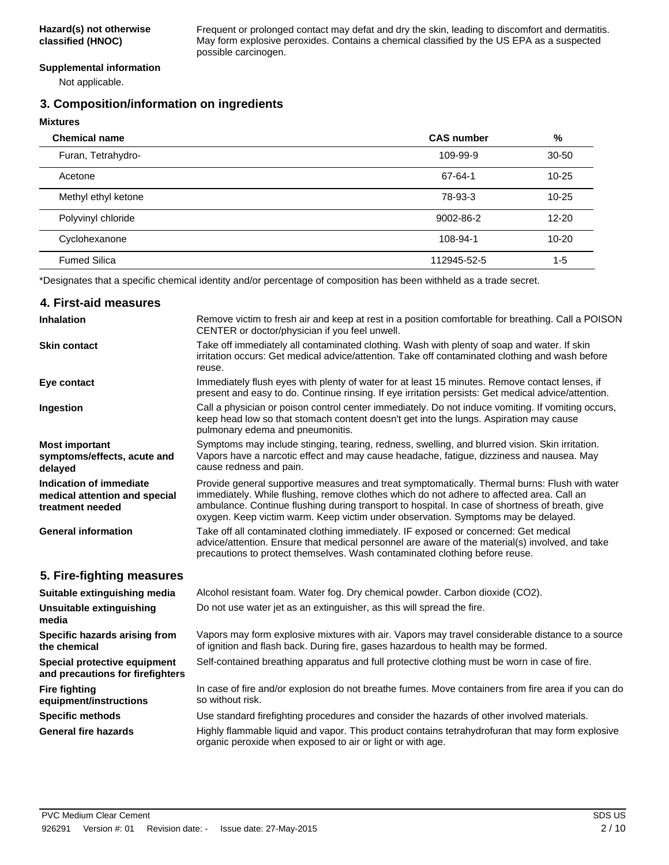Frequent or prolonged contact may defat and dry the skin, leading to discomfort and dermatitis. May form explosive peroxides. Contains a chemical classified by the US EPA as a suspected possible carcinogen.

#### **Supplemental information**

Not applicable.

## **3. Composition/information on ingredients**

**Mixtures**

| <b>Chemical name</b> | <b>CAS number</b> | %         |
|----------------------|-------------------|-----------|
| Furan, Tetrahydro-   | 109-99-9          | $30 - 50$ |
| Acetone              | 67-64-1           | $10 - 25$ |
| Methyl ethyl ketone  | 78-93-3           | $10 - 25$ |
| Polyvinyl chloride   | 9002-86-2         | $12 - 20$ |
| Cyclohexanone        | 108-94-1          | $10 - 20$ |
| <b>Fumed Silica</b>  | 112945-52-5       | $1 - 5$   |

\*Designates that a specific chemical identity and/or percentage of composition has been withheld as a trade secret.

## **4. First-aid measures**

| <b>Inhalation</b>                                                            | Remove victim to fresh air and keep at rest in a position comfortable for breathing. Call a POISON<br>CENTER or doctor/physician if you feel unwell.                                                                                                                                                                                                                                |  |
|------------------------------------------------------------------------------|-------------------------------------------------------------------------------------------------------------------------------------------------------------------------------------------------------------------------------------------------------------------------------------------------------------------------------------------------------------------------------------|--|
| <b>Skin contact</b>                                                          | Take off immediately all contaminated clothing. Wash with plenty of soap and water. If skin<br>irritation occurs: Get medical advice/attention. Take off contaminated clothing and wash before<br>reuse.                                                                                                                                                                            |  |
| Eye contact                                                                  | Immediately flush eyes with plenty of water for at least 15 minutes. Remove contact lenses, if<br>present and easy to do. Continue rinsing. If eye irritation persists: Get medical advice/attention.                                                                                                                                                                               |  |
| Ingestion                                                                    | Call a physician or poison control center immediately. Do not induce vomiting. If vomiting occurs,<br>keep head low so that stomach content doesn't get into the lungs. Aspiration may cause<br>pulmonary edema and pneumonitis.                                                                                                                                                    |  |
| <b>Most important</b><br>symptoms/effects, acute and<br>delayed              | Symptoms may include stinging, tearing, redness, swelling, and blurred vision. Skin irritation.<br>Vapors have a narcotic effect and may cause headache, fatigue, dizziness and nausea. May<br>cause redness and pain.                                                                                                                                                              |  |
| Indication of immediate<br>medical attention and special<br>treatment needed | Provide general supportive measures and treat symptomatically. Thermal burns: Flush with water<br>immediately. While flushing, remove clothes which do not adhere to affected area. Call an<br>ambulance. Continue flushing during transport to hospital. In case of shortness of breath, give<br>oxygen. Keep victim warm. Keep victim under observation. Symptoms may be delayed. |  |
| <b>General information</b>                                                   | Take off all contaminated clothing immediately. IF exposed or concerned: Get medical<br>advice/attention. Ensure that medical personnel are aware of the material(s) involved, and take<br>precautions to protect themselves. Wash contaminated clothing before reuse.                                                                                                              |  |
| 5. Fire-fighting measures                                                    |                                                                                                                                                                                                                                                                                                                                                                                     |  |
| Suitable extinguishing media                                                 | Alcohol resistant foam. Water fog. Dry chemical powder. Carbon dioxide (CO2).                                                                                                                                                                                                                                                                                                       |  |
| Unsuitable extinguishing<br>media                                            | Do not use water jet as an extinguisher, as this will spread the fire.                                                                                                                                                                                                                                                                                                              |  |
| Specific hazards arising from<br>the chemical                                | Vapors may form explosive mixtures with air. Vapors may travel considerable distance to a source<br>of ignition and flash back. During fire, gases hazardous to health may be formed.                                                                                                                                                                                               |  |
| Special protective equipment<br>and precautions for firefighters             | Self-contained breathing apparatus and full protective clothing must be worn in case of fire.                                                                                                                                                                                                                                                                                       |  |
| <b>Fire fighting</b><br>equipment/instructions                               | In case of fire and/or explosion do not breathe fumes. Move containers from fire area if you can do<br>so without risk.                                                                                                                                                                                                                                                             |  |
| <b>Specific methods</b>                                                      | Use standard firefighting procedures and consider the hazards of other involved materials.                                                                                                                                                                                                                                                                                          |  |
| <b>General fire hazards</b>                                                  | Highly flammable liquid and vapor. This product contains tetrahydrofuran that may form explosive<br>organic peroxide when exposed to air or light or with age.                                                                                                                                                                                                                      |  |
|                                                                              |                                                                                                                                                                                                                                                                                                                                                                                     |  |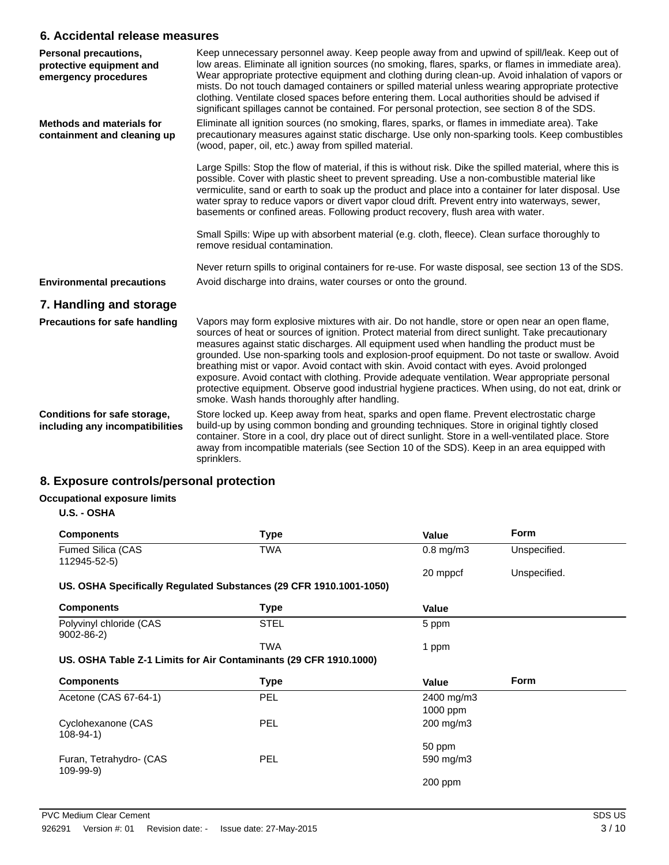## **6. Accidental release measures**

| <b>Personal precautions,</b><br>protective equipment and<br>emergency procedures | Keep unnecessary personnel away. Keep people away from and upwind of spill/leak. Keep out of<br>low areas. Eliminate all ignition sources (no smoking, flares, sparks, or flames in immediate area).<br>Wear appropriate protective equipment and clothing during clean-up. Avoid inhalation of vapors or<br>mists. Do not touch damaged containers or spilled material unless wearing appropriate protective<br>clothing. Ventilate closed spaces before entering them. Local authorities should be advised if<br>significant spillages cannot be contained. For personal protection, see section 8 of the SDS.                                                                                                                                      |
|----------------------------------------------------------------------------------|-------------------------------------------------------------------------------------------------------------------------------------------------------------------------------------------------------------------------------------------------------------------------------------------------------------------------------------------------------------------------------------------------------------------------------------------------------------------------------------------------------------------------------------------------------------------------------------------------------------------------------------------------------------------------------------------------------------------------------------------------------|
| <b>Methods and materials for</b><br>containment and cleaning up                  | Eliminate all ignition sources (no smoking, flares, sparks, or flames in immediate area). Take<br>precautionary measures against static discharge. Use only non-sparking tools. Keep combustibles<br>(wood, paper, oil, etc.) away from spilled material.                                                                                                                                                                                                                                                                                                                                                                                                                                                                                             |
|                                                                                  | Large Spills: Stop the flow of material, if this is without risk. Dike the spilled material, where this is<br>possible. Cover with plastic sheet to prevent spreading. Use a non-combustible material like<br>vermiculite, sand or earth to soak up the product and place into a container for later disposal. Use<br>water spray to reduce vapors or divert vapor cloud drift. Prevent entry into waterways, sewer,<br>basements or confined areas. Following product recovery, flush area with water.                                                                                                                                                                                                                                               |
|                                                                                  | Small Spills: Wipe up with absorbent material (e.g. cloth, fleece). Clean surface thoroughly to<br>remove residual contamination.                                                                                                                                                                                                                                                                                                                                                                                                                                                                                                                                                                                                                     |
|                                                                                  | Never return spills to original containers for re-use. For waste disposal, see section 13 of the SDS.                                                                                                                                                                                                                                                                                                                                                                                                                                                                                                                                                                                                                                                 |
| <b>Environmental precautions</b>                                                 | Avoid discharge into drains, water courses or onto the ground.                                                                                                                                                                                                                                                                                                                                                                                                                                                                                                                                                                                                                                                                                        |
| 7. Handling and storage                                                          |                                                                                                                                                                                                                                                                                                                                                                                                                                                                                                                                                                                                                                                                                                                                                       |
| <b>Precautions for safe handling</b>                                             | Vapors may form explosive mixtures with air. Do not handle, store or open near an open flame,<br>sources of heat or sources of ignition. Protect material from direct sunlight. Take precautionary<br>measures against static discharges. All equipment used when handling the product must be<br>grounded. Use non-sparking tools and explosion-proof equipment. Do not taste or swallow. Avoid<br>breathing mist or vapor. Avoid contact with skin. Avoid contact with eyes. Avoid prolonged<br>exposure. Avoid contact with clothing. Provide adequate ventilation. Wear appropriate personal<br>protective equipment. Observe good industrial hygiene practices. When using, do not eat, drink or<br>smoke. Wash hands thoroughly after handling. |
| Conditions for safe storage,<br>including any incompatibilities                  | Store locked up. Keep away from heat, sparks and open flame. Prevent electrostatic charge<br>build-up by using common bonding and grounding techniques. Store in original tightly closed<br>container. Store in a cool, dry place out of direct sunlight. Store in a well-ventilated place. Store<br>away from incompatible materials (see Section 10 of the SDS). Keep in an area equipped with<br>sprinklers.                                                                                                                                                                                                                                                                                                                                       |

# **8. Exposure controls/personal protection**

## **Occupational exposure limits**

**U.S. - OSHA**

| <b>Components</b>                                                  | <b>Type</b> | Value          | <b>Form</b>  |
|--------------------------------------------------------------------|-------------|----------------|--------------|
| Fumed Silica (CAS<br>112945-52-5)                                  | TWA         | $0.8$ mg/m $3$ | Unspecified. |
|                                                                    |             | 20 mppcf       | Unspecified. |
| US. OSHA Specifically Regulated Substances (29 CFR 1910.1001-1050) |             |                |              |
| <b>Components</b>                                                  | Type        | Value          |              |
| Polyvinyl chloride (CAS<br>$9002 - 86 - 2$                         | <b>STEL</b> | 5 ppm          |              |
|                                                                    | TWA         | 1 ppm          |              |
| US. OSHA Table Z-1 Limits for Air Contaminants (29 CFR 1910.1000)  |             |                |              |
| <b>Components</b>                                                  | <b>Type</b> | Value          | Form         |
| Acetone (CAS 67-64-1)                                              | PEL         | 2400 mg/m3     |              |
|                                                                    |             | 1000 ppm       |              |
| Cyclohexanone (CAS<br>$108 - 94 - 1$                               | <b>PEL</b>  | 200 mg/m3      |              |
|                                                                    |             | 50 ppm         |              |
| Furan, Tetrahydro- (CAS<br>109-99-9)                               | <b>PEL</b>  | 590 mg/m3      |              |
|                                                                    |             | $200$ ppm      |              |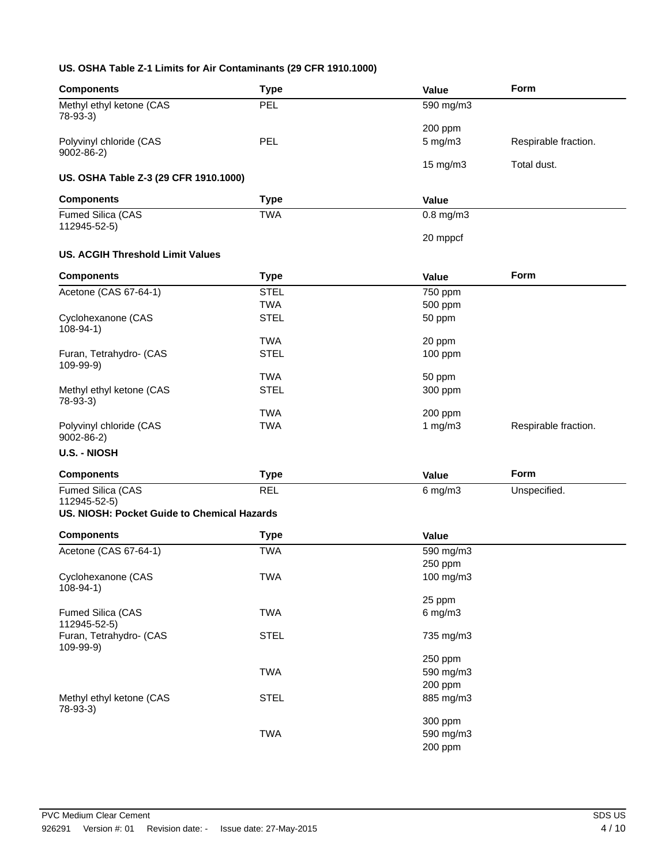### **US. OSHA Table Z-1 Limits for Air Contaminants (29 CFR 1910.1000)**

| <b>Components</b>                                           | <b>Type</b> | Value                | Form                 |
|-------------------------------------------------------------|-------------|----------------------|----------------------|
| Methyl ethyl ketone (CAS<br>78-93-3)                        | <b>PEL</b>  | 590 mg/m3            |                      |
|                                                             |             | 200 ppm              |                      |
| Polyvinyl chloride (CAS<br>$9002 - 86 - 2$                  | PEL         | 5 mg/m3              | Respirable fraction. |
| US. OSHA Table Z-3 (29 CFR 1910.1000)                       |             | 15 mg/m3             | Total dust.          |
| <b>Components</b>                                           | <b>Type</b> | Value                |                      |
| Fumed Silica (CAS                                           | <b>TWA</b>  | $0.8$ mg/m $3$       |                      |
| 112945-52-5)                                                |             | 20 mppcf             |                      |
| <b>US. ACGIH Threshold Limit Values</b>                     |             |                      |                      |
|                                                             |             |                      | Form                 |
| <b>Components</b>                                           | <b>Type</b> | Value                |                      |
| Acetone (CAS 67-64-1)                                       | <b>STEL</b> | 750 ppm              |                      |
|                                                             | <b>TWA</b>  | 500 ppm              |                      |
| Cyclohexanone (CAS<br>$108 - 94 - 1$                        | <b>STEL</b> | 50 ppm               |                      |
|                                                             | <b>TWA</b>  | 20 ppm               |                      |
| Furan, Tetrahydro- (CAS<br>109-99-9)                        | <b>STEL</b> | 100 ppm              |                      |
|                                                             | <b>TWA</b>  | 50 ppm               |                      |
| Methyl ethyl ketone (CAS<br>78-93-3)                        | <b>STEL</b> | 300 ppm              |                      |
|                                                             | <b>TWA</b>  | 200 ppm              |                      |
| Polyvinyl chloride (CAS<br>$9002 - 86 - 2$                  | <b>TWA</b>  | 1 $mg/m3$            | Respirable fraction. |
| U.S. - NIOSH                                                |             |                      |                      |
| <b>Components</b>                                           | <b>Type</b> | Value                | Form                 |
| Fumed Silica (CAS                                           | <b>REL</b>  | $6$ mg/m $3$         | Unspecified.         |
| 112945-52-5)<br>US. NIOSH: Pocket Guide to Chemical Hazards |             |                      |                      |
|                                                             |             |                      |                      |
| <b>Components</b>                                           | <b>Type</b> | Value                |                      |
| Acetone (CAS 67-64-1)                                       | <b>TWA</b>  | 590 mg/m3            |                      |
|                                                             |             | 250 ppm              |                      |
| Cyclohexanone (CAS<br>$108 - 94 - 1$                        | <b>TWA</b>  | 100 mg/m3            |                      |
|                                                             |             | 25 ppm               |                      |
| Fumed Silica (CAS<br>112945-52-5)                           | <b>TWA</b>  | $6$ mg/m $3$         |                      |
| Furan, Tetrahydro- (CAS<br>109-99-9)                        | <b>STEL</b> | 735 mg/m3            |                      |
|                                                             | <b>TWA</b>  | 250 ppm<br>590 mg/m3 |                      |
|                                                             |             | 200 ppm              |                      |
| Methyl ethyl ketone (CAS                                    | <b>STEL</b> | 885 mg/m3            |                      |
| 78-93-3)                                                    |             |                      |                      |
|                                                             |             | 300 ppm              |                      |
|                                                             | <b>TWA</b>  | 590 mg/m3            |                      |
|                                                             |             | 200 ppm              |                      |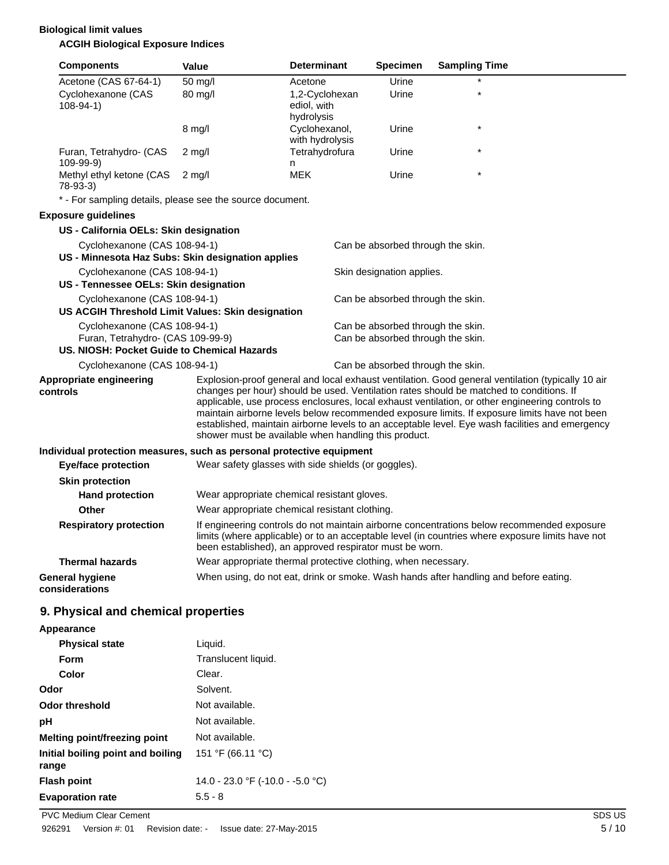## **Biological limit values ACGIH Biological Exposure Indices**

|          | <b>Components</b>                                                                | <b>Value</b>                                                  | <b>Determinant</b>                          | <b>Specimen</b>                   | <b>Sampling Time</b>                                                                                                                                                                                                                                                                                                                                                                          |
|----------|----------------------------------------------------------------------------------|---------------------------------------------------------------|---------------------------------------------|-----------------------------------|-----------------------------------------------------------------------------------------------------------------------------------------------------------------------------------------------------------------------------------------------------------------------------------------------------------------------------------------------------------------------------------------------|
|          | Acetone (CAS 67-64-1)                                                            | 50 mg/l                                                       | Acetone                                     | Urine                             |                                                                                                                                                                                                                                                                                                                                                                                               |
|          | Cyclohexanone (CAS<br>$108-94-1)$                                                | 80 mg/l                                                       | 1,2-Cyclohexan<br>ediol, with<br>hydrolysis | Urine                             |                                                                                                                                                                                                                                                                                                                                                                                               |
|          |                                                                                  | $8 \text{ mg/l}$                                              | Cyclohexanol,<br>with hydrolysis            | Urine                             | $\star$                                                                                                                                                                                                                                                                                                                                                                                       |
|          | Furan, Tetrahydro- (CAS<br>109-99-9)                                             | $2$ mg/l                                                      | Tetrahydrofura<br>n                         | Urine                             |                                                                                                                                                                                                                                                                                                                                                                                               |
|          | Methyl ethyl ketone (CAS<br>78-93-3)                                             | $2$ mg/l                                                      | <b>MEK</b>                                  | Urine                             | $\star$                                                                                                                                                                                                                                                                                                                                                                                       |
|          | * - For sampling details, please see the source document.                        |                                                               |                                             |                                   |                                                                                                                                                                                                                                                                                                                                                                                               |
|          | <b>Exposure guidelines</b>                                                       |                                                               |                                             |                                   |                                                                                                                                                                                                                                                                                                                                                                                               |
|          | US - California OELs: Skin designation                                           |                                                               |                                             |                                   |                                                                                                                                                                                                                                                                                                                                                                                               |
|          | Cyclohexanone (CAS 108-94-1)                                                     |                                                               |                                             | Can be absorbed through the skin. |                                                                                                                                                                                                                                                                                                                                                                                               |
|          | US - Minnesota Haz Subs: Skin designation applies                                |                                                               |                                             |                                   |                                                                                                                                                                                                                                                                                                                                                                                               |
|          | Cyclohexanone (CAS 108-94-1)                                                     |                                                               |                                             | Skin designation applies.         |                                                                                                                                                                                                                                                                                                                                                                                               |
|          | US - Tennessee OELs: Skin designation                                            |                                                               |                                             |                                   |                                                                                                                                                                                                                                                                                                                                                                                               |
|          | Cyclohexanone (CAS 108-94-1)                                                     |                                                               |                                             | Can be absorbed through the skin. |                                                                                                                                                                                                                                                                                                                                                                                               |
|          | US ACGIH Threshold Limit Values: Skin designation                                |                                                               |                                             |                                   |                                                                                                                                                                                                                                                                                                                                                                                               |
|          | Cyclohexanone (CAS 108-94-1)                                                     |                                                               |                                             | Can be absorbed through the skin. |                                                                                                                                                                                                                                                                                                                                                                                               |
|          | Furan, Tetrahydro- (CAS 109-99-9)<br>US. NIOSH: Pocket Guide to Chemical Hazards |                                                               |                                             | Can be absorbed through the skin. |                                                                                                                                                                                                                                                                                                                                                                                               |
|          | Cyclohexanone (CAS 108-94-1)                                                     |                                                               |                                             | Can be absorbed through the skin. |                                                                                                                                                                                                                                                                                                                                                                                               |
|          | Appropriate engineering                                                          |                                                               |                                             |                                   | Explosion-proof general and local exhaust ventilation. Good general ventilation (typically 10 air                                                                                                                                                                                                                                                                                             |
| controls |                                                                                  | shower must be available when handling this product.          |                                             |                                   | changes per hour) should be used. Ventilation rates should be matched to conditions. If<br>applicable, use process enclosures, local exhaust ventilation, or other engineering controls to<br>maintain airborne levels below recommended exposure limits. If exposure limits have not been<br>established, maintain airborne levels to an acceptable level. Eye wash facilities and emergency |
|          | Individual protection measures, such as personal protective equipment            |                                                               |                                             |                                   |                                                                                                                                                                                                                                                                                                                                                                                               |
|          | <b>Eye/face protection</b>                                                       | Wear safety glasses with side shields (or goggles).           |                                             |                                   |                                                                                                                                                                                                                                                                                                                                                                                               |
|          | <b>Skin protection</b>                                                           |                                                               |                                             |                                   |                                                                                                                                                                                                                                                                                                                                                                                               |
|          | <b>Hand protection</b>                                                           | Wear appropriate chemical resistant gloves.                   |                                             |                                   |                                                                                                                                                                                                                                                                                                                                                                                               |
|          | Other                                                                            | Wear appropriate chemical resistant clothing.                 |                                             |                                   |                                                                                                                                                                                                                                                                                                                                                                                               |
|          | <b>Respiratory protection</b>                                                    | been established), an approved respirator must be worn.       |                                             |                                   | If engineering controls do not maintain airborne concentrations below recommended exposure<br>limits (where applicable) or to an acceptable level (in countries where exposure limits have not                                                                                                                                                                                                |
|          | <b>Thermal hazards</b>                                                           | Wear appropriate thermal protective clothing, when necessary. |                                             |                                   |                                                                                                                                                                                                                                                                                                                                                                                               |
|          | <b>General hygiene</b><br>considerations                                         |                                                               |                                             |                                   | When using, do not eat, drink or smoke. Wash hands after handling and before eating.                                                                                                                                                                                                                                                                                                          |
|          | 9. Physical and chemical properties                                              |                                                               |                                             |                                   |                                                                                                                                                                                                                                                                                                                                                                                               |
|          | Appearance                                                                       |                                                               |                                             |                                   |                                                                                                                                                                                                                                                                                                                                                                                               |
|          | <b>Physical state</b>                                                            | Liquid.                                                       |                                             |                                   |                                                                                                                                                                                                                                                                                                                                                                                               |
|          | Form                                                                             | Translucent liquid.                                           |                                             |                                   |                                                                                                                                                                                                                                                                                                                                                                                               |
|          | Color                                                                            | Clear.                                                        |                                             |                                   |                                                                                                                                                                                                                                                                                                                                                                                               |
| Odor     |                                                                                  | Solvent.                                                      |                                             |                                   |                                                                                                                                                                                                                                                                                                                                                                                               |

**Evaporation rate** 5.5 - 8

**Initial boiling point and boiling**

**range**

**Flash point** 14.0 - 23.0 °F (-10.0 - -5.0 °C)

151 °F (66.11 °C)

**Odor threshold** Not available. **pH** Not available. **Melting point/freezing point** Not available.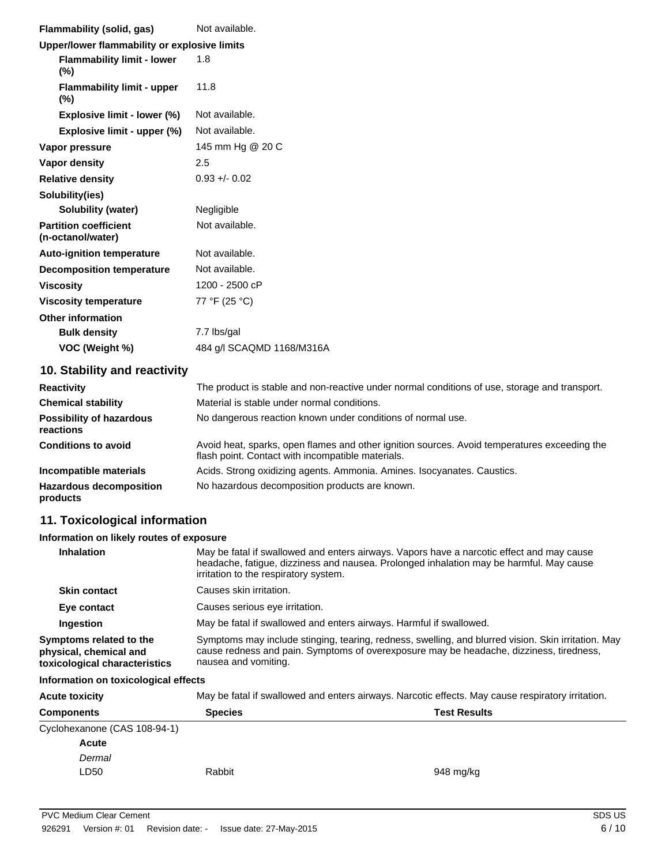| Flammability (solid, gas)                         | Not available.            |  |
|---------------------------------------------------|---------------------------|--|
| Upper/lower flammability or explosive limits      |                           |  |
| <b>Flammability limit - lower</b><br>$(\%)$       | 1.8                       |  |
| <b>Flammability limit - upper</b><br>$(\%)$       | 11.8                      |  |
| Explosive limit - lower (%)                       | Not available.            |  |
| Explosive limit - upper (%)                       | Not available.            |  |
| Vapor pressure                                    | 145 mm Hg @ 20 C          |  |
| Vapor density                                     | 2.5                       |  |
| <b>Relative density</b>                           | $0.93 + 0.02$             |  |
| Solubility(ies)                                   |                           |  |
| Solubility (water)                                | Negligible                |  |
| <b>Partition coefficient</b><br>(n-octanol/water) | Not available.            |  |
| <b>Auto-ignition temperature</b>                  | Not available.            |  |
| <b>Decomposition temperature</b>                  | Not available.            |  |
| <b>Viscosity</b>                                  | 1200 - 2500 cP            |  |
| <b>Viscosity temperature</b>                      | 77 °F (25 °C)             |  |
| <b>Other information</b>                          |                           |  |
| <b>Bulk density</b>                               | 7.7 lbs/gal               |  |
| VOC (Weight %)                                    | 484 g/l SCAQMD 1168/M316A |  |

# **10. Stability and reactivity**

| <b>Reactivity</b>                            | The product is stable and non-reactive under normal conditions of use, storage and transport.                                                     |
|----------------------------------------------|---------------------------------------------------------------------------------------------------------------------------------------------------|
| <b>Chemical stability</b>                    | Material is stable under normal conditions.                                                                                                       |
| <b>Possibility of hazardous</b><br>reactions | No dangerous reaction known under conditions of normal use.                                                                                       |
| <b>Conditions to avoid</b>                   | Avoid heat, sparks, open flames and other ignition sources. Avoid temperatures exceeding the<br>flash point. Contact with incompatible materials. |
| Incompatible materials                       | Acids. Strong oxidizing agents. Ammonia. Amines. Isocyanates. Caustics.                                                                           |
| <b>Hazardous decomposition</b><br>products   | No hazardous decomposition products are known.                                                                                                    |

# **11. Toxicological information**

### **Information on likely routes of exposure**

| <b>Inhalation</b>                                                                  | May be fatal if swallowed and enters airways. Vapors have a narcotic effect and may cause<br>headache, fatigue, dizziness and nausea. Prolonged inhalation may be harmful. May cause<br>irritation to the respiratory system. |
|------------------------------------------------------------------------------------|-------------------------------------------------------------------------------------------------------------------------------------------------------------------------------------------------------------------------------|
| <b>Skin contact</b>                                                                | Causes skin irritation.                                                                                                                                                                                                       |
| Eye contact                                                                        | Causes serious eye irritation.                                                                                                                                                                                                |
| Ingestion                                                                          | May be fatal if swallowed and enters airways. Harmful if swallowed.                                                                                                                                                           |
| Symptoms related to the<br>physical, chemical and<br>toxicological characteristics | Symptoms may include stinging, tearing, redness, swelling, and blurred vision. Skin irritation. May<br>cause redness and pain. Symptoms of overexposure may be headache, dizziness, tiredness,<br>nausea and vomiting.        |

#### **Information on toxicological effects**

| <b>Acute toxicity</b>        | May be fatal if swallowed and enters airways. Narcotic effects. May cause respiratory irritation. |                     |  |
|------------------------------|---------------------------------------------------------------------------------------------------|---------------------|--|
| <b>Components</b>            | <b>Species</b>                                                                                    | <b>Test Results</b> |  |
| Cyclohexanone (CAS 108-94-1) |                                                                                                   |                     |  |
| <b>Acute</b>                 |                                                                                                   |                     |  |
| Dermal                       |                                                                                                   |                     |  |
| LD50                         | Rabbit                                                                                            | 948 mg/kg           |  |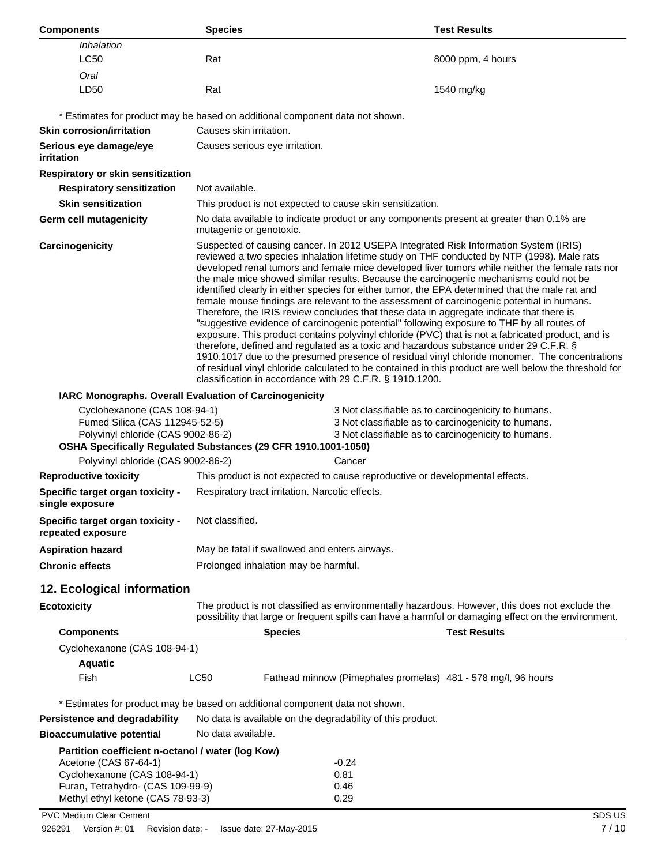| <b>Components</b>                                                                                    | <b>Species</b>     |                                                                                                                                                                                                                                                                                                                                                                                                                                                                                                                                                                                                                                                                                                                                                                                                                                                                                                                                                                                                                                                                                                                                                                                                                                                | <b>Test Results</b>                                                                                                                                                                                   |  |
|------------------------------------------------------------------------------------------------------|--------------------|------------------------------------------------------------------------------------------------------------------------------------------------------------------------------------------------------------------------------------------------------------------------------------------------------------------------------------------------------------------------------------------------------------------------------------------------------------------------------------------------------------------------------------------------------------------------------------------------------------------------------------------------------------------------------------------------------------------------------------------------------------------------------------------------------------------------------------------------------------------------------------------------------------------------------------------------------------------------------------------------------------------------------------------------------------------------------------------------------------------------------------------------------------------------------------------------------------------------------------------------|-------------------------------------------------------------------------------------------------------------------------------------------------------------------------------------------------------|--|
| Inhalation<br><b>LC50</b>                                                                            | Rat                |                                                                                                                                                                                                                                                                                                                                                                                                                                                                                                                                                                                                                                                                                                                                                                                                                                                                                                                                                                                                                                                                                                                                                                                                                                                | 8000 ppm, 4 hours                                                                                                                                                                                     |  |
|                                                                                                      |                    |                                                                                                                                                                                                                                                                                                                                                                                                                                                                                                                                                                                                                                                                                                                                                                                                                                                                                                                                                                                                                                                                                                                                                                                                                                                |                                                                                                                                                                                                       |  |
| Oral<br>LD50                                                                                         | Rat                |                                                                                                                                                                                                                                                                                                                                                                                                                                                                                                                                                                                                                                                                                                                                                                                                                                                                                                                                                                                                                                                                                                                                                                                                                                                | 1540 mg/kg                                                                                                                                                                                            |  |
|                                                                                                      |                    | * Estimates for product may be based on additional component data not shown.                                                                                                                                                                                                                                                                                                                                                                                                                                                                                                                                                                                                                                                                                                                                                                                                                                                                                                                                                                                                                                                                                                                                                                   |                                                                                                                                                                                                       |  |
| <b>Skin corrosion/irritation</b>                                                                     |                    | Causes skin irritation.                                                                                                                                                                                                                                                                                                                                                                                                                                                                                                                                                                                                                                                                                                                                                                                                                                                                                                                                                                                                                                                                                                                                                                                                                        |                                                                                                                                                                                                       |  |
| Serious eye damage/eye<br><i>irritation</i>                                                          |                    | Causes serious eye irritation.                                                                                                                                                                                                                                                                                                                                                                                                                                                                                                                                                                                                                                                                                                                                                                                                                                                                                                                                                                                                                                                                                                                                                                                                                 |                                                                                                                                                                                                       |  |
| Respiratory or skin sensitization                                                                    |                    |                                                                                                                                                                                                                                                                                                                                                                                                                                                                                                                                                                                                                                                                                                                                                                                                                                                                                                                                                                                                                                                                                                                                                                                                                                                |                                                                                                                                                                                                       |  |
| <b>Respiratory sensitization</b>                                                                     | Not available.     |                                                                                                                                                                                                                                                                                                                                                                                                                                                                                                                                                                                                                                                                                                                                                                                                                                                                                                                                                                                                                                                                                                                                                                                                                                                |                                                                                                                                                                                                       |  |
| <b>Skin sensitization</b>                                                                            |                    | This product is not expected to cause skin sensitization.                                                                                                                                                                                                                                                                                                                                                                                                                                                                                                                                                                                                                                                                                                                                                                                                                                                                                                                                                                                                                                                                                                                                                                                      |                                                                                                                                                                                                       |  |
| Germ cell mutagenicity                                                                               |                    | mutagenic or genotoxic.                                                                                                                                                                                                                                                                                                                                                                                                                                                                                                                                                                                                                                                                                                                                                                                                                                                                                                                                                                                                                                                                                                                                                                                                                        | No data available to indicate product or any components present at greater than 0.1% are                                                                                                              |  |
| Carcinogenicity                                                                                      |                    | Suspected of causing cancer. In 2012 USEPA Integrated Risk Information System (IRIS)<br>reviewed a two species inhalation lifetime study on THF conducted by NTP (1998). Male rats<br>developed renal tumors and female mice developed liver tumors while neither the female rats nor<br>the male mice showed similar results. Because the carcinogenic mechanisms could not be<br>identified clearly in either species for either tumor, the EPA determined that the male rat and<br>female mouse findings are relevant to the assessment of carcinogenic potential in humans.<br>Therefore, the IRIS review concludes that these data in aggregate indicate that there is<br>"suggestive evidence of carcinogenic potential" following exposure to THF by all routes of<br>exposure. This product contains polyvinyl chloride (PVC) that is not a fabricated product, and is<br>therefore, defined and regulated as a toxic and hazardous substance under 29 C.F.R. §<br>1910.1017 due to the presumed presence of residual vinyl chloride monomer. The concentrations<br>of residual vinyl chloride calculated to be contained in this product are well below the threshold for<br>classification in accordance with 29 C.F.R. § 1910.1200. |                                                                                                                                                                                                       |  |
| IARC Monographs. Overall Evaluation of Carcinogenicity                                               |                    |                                                                                                                                                                                                                                                                                                                                                                                                                                                                                                                                                                                                                                                                                                                                                                                                                                                                                                                                                                                                                                                                                                                                                                                                                                                |                                                                                                                                                                                                       |  |
| Cyclohexanone (CAS 108-94-1)<br>Fumed Silica (CAS 112945-52-5)<br>Polyvinyl chloride (CAS 9002-86-2) |                    | OSHA Specifically Regulated Substances (29 CFR 1910.1001-1050)                                                                                                                                                                                                                                                                                                                                                                                                                                                                                                                                                                                                                                                                                                                                                                                                                                                                                                                                                                                                                                                                                                                                                                                 | 3 Not classifiable as to carcinogenicity to humans.<br>3 Not classifiable as to carcinogenicity to humans.<br>3 Not classifiable as to carcinogenicity to humans.                                     |  |
| Polyvinyl chloride (CAS 9002-86-2)                                                                   |                    | Cancer                                                                                                                                                                                                                                                                                                                                                                                                                                                                                                                                                                                                                                                                                                                                                                                                                                                                                                                                                                                                                                                                                                                                                                                                                                         |                                                                                                                                                                                                       |  |
| <b>Reproductive toxicity</b>                                                                         |                    |                                                                                                                                                                                                                                                                                                                                                                                                                                                                                                                                                                                                                                                                                                                                                                                                                                                                                                                                                                                                                                                                                                                                                                                                                                                | This product is not expected to cause reproductive or developmental effects.                                                                                                                          |  |
| Specific target organ toxicity -<br>single exposure                                                  |                    | Respiratory tract irritation. Narcotic effects.                                                                                                                                                                                                                                                                                                                                                                                                                                                                                                                                                                                                                                                                                                                                                                                                                                                                                                                                                                                                                                                                                                                                                                                                |                                                                                                                                                                                                       |  |
| Specific target organ toxicity -<br>repeated exposure                                                | Not classified.    |                                                                                                                                                                                                                                                                                                                                                                                                                                                                                                                                                                                                                                                                                                                                                                                                                                                                                                                                                                                                                                                                                                                                                                                                                                                |                                                                                                                                                                                                       |  |
| <b>Aspiration hazard</b>                                                                             |                    | May be fatal if swallowed and enters airways.                                                                                                                                                                                                                                                                                                                                                                                                                                                                                                                                                                                                                                                                                                                                                                                                                                                                                                                                                                                                                                                                                                                                                                                                  |                                                                                                                                                                                                       |  |
| <b>Chronic effects</b>                                                                               |                    | Prolonged inhalation may be harmful.                                                                                                                                                                                                                                                                                                                                                                                                                                                                                                                                                                                                                                                                                                                                                                                                                                                                                                                                                                                                                                                                                                                                                                                                           |                                                                                                                                                                                                       |  |
| 12. Ecological information                                                                           |                    |                                                                                                                                                                                                                                                                                                                                                                                                                                                                                                                                                                                                                                                                                                                                                                                                                                                                                                                                                                                                                                                                                                                                                                                                                                                |                                                                                                                                                                                                       |  |
| <b>Ecotoxicity</b>                                                                                   |                    |                                                                                                                                                                                                                                                                                                                                                                                                                                                                                                                                                                                                                                                                                                                                                                                                                                                                                                                                                                                                                                                                                                                                                                                                                                                | The product is not classified as environmentally hazardous. However, this does not exclude the<br>possibility that large or frequent spills can have a harmful or damaging effect on the environment. |  |
| <b>Components</b>                                                                                    |                    | <b>Species</b>                                                                                                                                                                                                                                                                                                                                                                                                                                                                                                                                                                                                                                                                                                                                                                                                                                                                                                                                                                                                                                                                                                                                                                                                                                 | <b>Test Results</b>                                                                                                                                                                                   |  |
| Cyclohexanone (CAS 108-94-1)                                                                         |                    |                                                                                                                                                                                                                                                                                                                                                                                                                                                                                                                                                                                                                                                                                                                                                                                                                                                                                                                                                                                                                                                                                                                                                                                                                                                |                                                                                                                                                                                                       |  |
| <b>Aquatic</b>                                                                                       |                    |                                                                                                                                                                                                                                                                                                                                                                                                                                                                                                                                                                                                                                                                                                                                                                                                                                                                                                                                                                                                                                                                                                                                                                                                                                                |                                                                                                                                                                                                       |  |
| Fish                                                                                                 | <b>LC50</b>        |                                                                                                                                                                                                                                                                                                                                                                                                                                                                                                                                                                                                                                                                                                                                                                                                                                                                                                                                                                                                                                                                                                                                                                                                                                                | Fathead minnow (Pimephales promelas) 481 - 578 mg/l, 96 hours                                                                                                                                         |  |
|                                                                                                      |                    | * Estimates for product may be based on additional component data not shown.                                                                                                                                                                                                                                                                                                                                                                                                                                                                                                                                                                                                                                                                                                                                                                                                                                                                                                                                                                                                                                                                                                                                                                   |                                                                                                                                                                                                       |  |
| Persistence and degradability                                                                        |                    | No data is available on the degradability of this product.                                                                                                                                                                                                                                                                                                                                                                                                                                                                                                                                                                                                                                                                                                                                                                                                                                                                                                                                                                                                                                                                                                                                                                                     |                                                                                                                                                                                                       |  |
| <b>Bioaccumulative potential</b>                                                                     | No data available. |                                                                                                                                                                                                                                                                                                                                                                                                                                                                                                                                                                                                                                                                                                                                                                                                                                                                                                                                                                                                                                                                                                                                                                                                                                                |                                                                                                                                                                                                       |  |
| Partition coefficient n-octanol / water (log Kow)                                                    |                    |                                                                                                                                                                                                                                                                                                                                                                                                                                                                                                                                                                                                                                                                                                                                                                                                                                                                                                                                                                                                                                                                                                                                                                                                                                                |                                                                                                                                                                                                       |  |
| Acetone (CAS 67-64-1)                                                                                |                    | -0.24                                                                                                                                                                                                                                                                                                                                                                                                                                                                                                                                                                                                                                                                                                                                                                                                                                                                                                                                                                                                                                                                                                                                                                                                                                          |                                                                                                                                                                                                       |  |
| Cyclohexanone (CAS 108-94-1)                                                                         |                    | 0.81                                                                                                                                                                                                                                                                                                                                                                                                                                                                                                                                                                                                                                                                                                                                                                                                                                                                                                                                                                                                                                                                                                                                                                                                                                           |                                                                                                                                                                                                       |  |
| Furan, Tetrahydro- (CAS 109-99-9)<br>Methyl ethyl ketone (CAS 78-93-3)                               |                    | 0.46<br>0.29                                                                                                                                                                                                                                                                                                                                                                                                                                                                                                                                                                                                                                                                                                                                                                                                                                                                                                                                                                                                                                                                                                                                                                                                                                   |                                                                                                                                                                                                       |  |
| <b>PVC Medium Clear Cement</b>                                                                       |                    |                                                                                                                                                                                                                                                                                                                                                                                                                                                                                                                                                                                                                                                                                                                                                                                                                                                                                                                                                                                                                                                                                                                                                                                                                                                | SDS US                                                                                                                                                                                                |  |
|                                                                                                      |                    |                                                                                                                                                                                                                                                                                                                                                                                                                                                                                                                                                                                                                                                                                                                                                                                                                                                                                                                                                                                                                                                                                                                                                                                                                                                |                                                                                                                                                                                                       |  |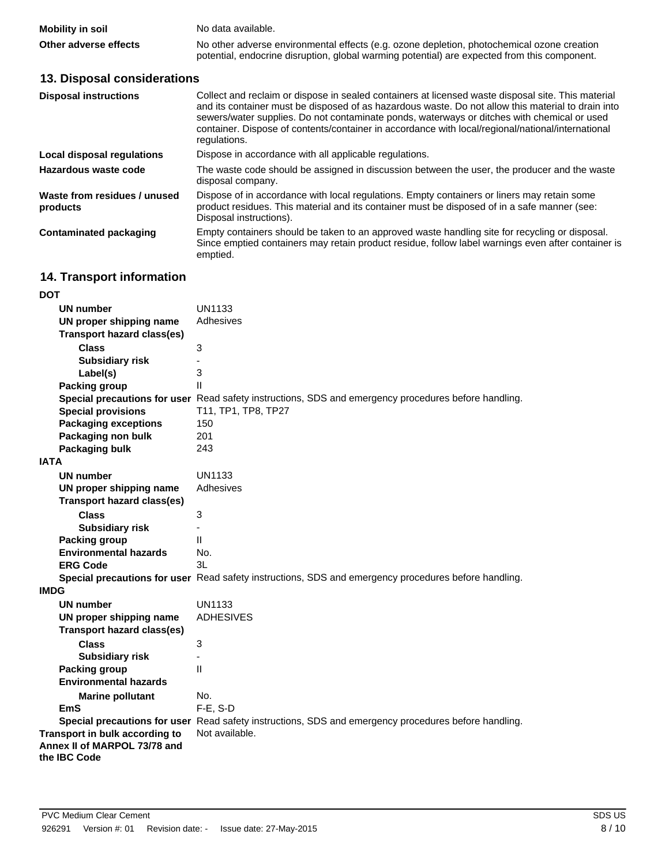| <b>Mobility in soil</b> | No data available.                                                                                                                                                                         |
|-------------------------|--------------------------------------------------------------------------------------------------------------------------------------------------------------------------------------------|
| Other adverse effects   | No other adverse environmental effects (e.g. ozone depletion, photochemical ozone creation<br>potential, endocrine disruption, global warming potential) are expected from this component. |

# **13. Disposal considerations**

| <b>Disposal instructions</b>             | Collect and reclaim or dispose in sealed containers at licensed waste disposal site. This material<br>and its container must be disposed of as hazardous waste. Do not allow this material to drain into<br>sewers/water supplies. Do not contaminate ponds, waterways or ditches with chemical or used<br>container. Dispose of contents/container in accordance with local/regional/national/international<br>regulations. |  |
|------------------------------------------|------------------------------------------------------------------------------------------------------------------------------------------------------------------------------------------------------------------------------------------------------------------------------------------------------------------------------------------------------------------------------------------------------------------------------|--|
| Local disposal regulations               | Dispose in accordance with all applicable regulations.                                                                                                                                                                                                                                                                                                                                                                       |  |
| Hazardous waste code                     | The waste code should be assigned in discussion between the user, the producer and the waste<br>disposal company.                                                                                                                                                                                                                                                                                                            |  |
| Waste from residues / unused<br>products | Dispose of in accordance with local regulations. Empty containers or liners may retain some<br>product residues. This material and its container must be disposed of in a safe manner (see:<br>Disposal instructions).                                                                                                                                                                                                       |  |
| Contaminated packaging                   | Empty containers should be taken to an approved waste handling site for recycling or disposal.<br>Since emptied containers may retain product residue, follow label warnings even after container is<br>emptied.                                                                                                                                                                                                             |  |

# **14. Transport information**

| DOT                                                                            |                                                                                                      |
|--------------------------------------------------------------------------------|------------------------------------------------------------------------------------------------------|
| UN number                                                                      | UN1133                                                                                               |
| UN proper shipping name                                                        | Adhesives                                                                                            |
| <b>Transport hazard class(es)</b>                                              |                                                                                                      |
| <b>Class</b>                                                                   | 3                                                                                                    |
| <b>Subsidiary risk</b>                                                         |                                                                                                      |
| Label(s)                                                                       | 3                                                                                                    |
| <b>Packing group</b>                                                           | $\mathbf{H}$                                                                                         |
|                                                                                | Special precautions for user Read safety instructions, SDS and emergency procedures before handling. |
| <b>Special provisions</b>                                                      | T11, TP1, TP8, TP27                                                                                  |
| <b>Packaging exceptions</b>                                                    | 150                                                                                                  |
| Packaging non bulk                                                             | 201                                                                                                  |
| Packaging bulk                                                                 | 243                                                                                                  |
| <b>IATA</b>                                                                    |                                                                                                      |
| <b>UN number</b>                                                               | UN1133                                                                                               |
| UN proper shipping name                                                        | Adhesives                                                                                            |
| <b>Transport hazard class(es)</b>                                              |                                                                                                      |
| <b>Class</b>                                                                   | 3                                                                                                    |
| <b>Subsidiary risk</b>                                                         | ÷,                                                                                                   |
| <b>Packing group</b>                                                           | $\mathbf{H}$                                                                                         |
| <b>Environmental hazards</b>                                                   | No.                                                                                                  |
| <b>ERG Code</b>                                                                | 31                                                                                                   |
|                                                                                | Special precautions for user Read safety instructions, SDS and emergency procedures before handling. |
| <b>IMDG</b>                                                                    |                                                                                                      |
| <b>UN number</b>                                                               | <b>UN1133</b>                                                                                        |
| UN proper shipping name                                                        | <b>ADHESIVES</b>                                                                                     |
| <b>Transport hazard class(es)</b>                                              |                                                                                                      |
| <b>Class</b>                                                                   | 3                                                                                                    |
| <b>Subsidiary risk</b>                                                         | ä,                                                                                                   |
| <b>Packing group</b>                                                           | $\mathbf{H}$                                                                                         |
| <b>Environmental hazards</b>                                                   |                                                                                                      |
| <b>Marine pollutant</b>                                                        | No.                                                                                                  |
| EmS                                                                            | F-E, S-D                                                                                             |
|                                                                                | Special precautions for user Read safety instructions, SDS and emergency procedures before handling. |
| Transport in bulk according to<br>Annex II of MARPOL 73/78 and<br>the IBC Code | Not available.                                                                                       |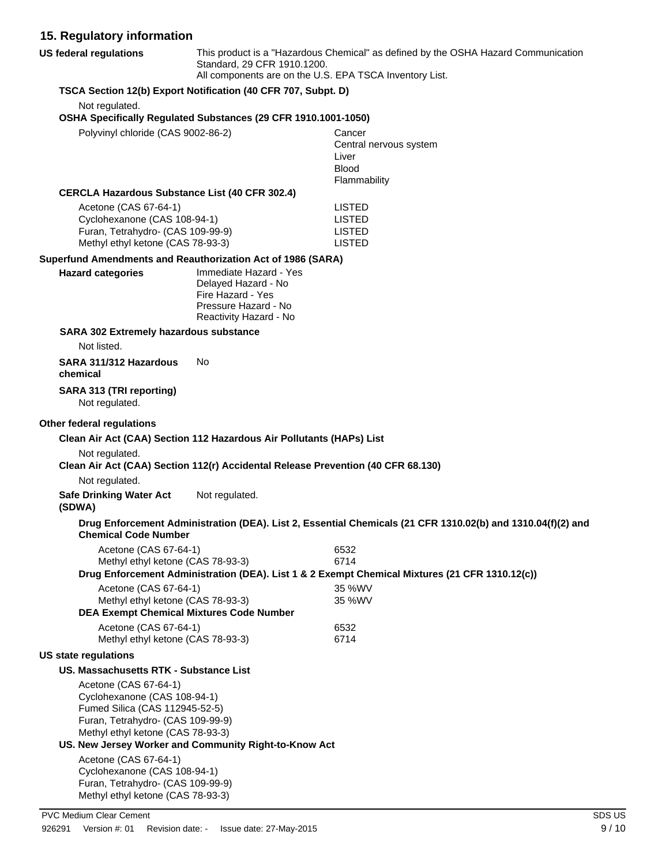## **15. Regulatory information**

| 15. Regulatory information                                          |                                                                                        |                                                                                                             |
|---------------------------------------------------------------------|----------------------------------------------------------------------------------------|-------------------------------------------------------------------------------------------------------------|
| <b>US federal regulations</b>                                       | Standard, 29 CFR 1910.1200.<br>All components are on the U.S. EPA TSCA Inventory List. | This product is a "Hazardous Chemical" as defined by the OSHA Hazard Communication                          |
|                                                                     | TSCA Section 12(b) Export Notification (40 CFR 707, Subpt. D)                          |                                                                                                             |
| Not regulated.                                                      |                                                                                        |                                                                                                             |
|                                                                     | OSHA Specifically Regulated Substances (29 CFR 1910.1001-1050)                         |                                                                                                             |
| Polyvinyl chloride (CAS 9002-86-2)                                  |                                                                                        | Cancer                                                                                                      |
|                                                                     |                                                                                        | Central nervous system<br>Liver                                                                             |
|                                                                     |                                                                                        | <b>Blood</b>                                                                                                |
|                                                                     |                                                                                        | Flammability                                                                                                |
| <b>CERCLA Hazardous Substance List (40 CFR 302.4)</b>               |                                                                                        |                                                                                                             |
| Acetone (CAS 67-64-1)                                               |                                                                                        | <b>LISTED</b><br><b>LISTED</b>                                                                              |
| Cyclohexanone (CAS 108-94-1)<br>Furan, Tetrahydro- (CAS 109-99-9)   |                                                                                        | <b>LISTED</b>                                                                                               |
| Methyl ethyl ketone (CAS 78-93-3)                                   |                                                                                        | <b>LISTED</b>                                                                                               |
| Superfund Amendments and Reauthorization Act of 1986 (SARA)         |                                                                                        |                                                                                                             |
| <b>Hazard categories</b>                                            | Immediate Hazard - Yes                                                                 |                                                                                                             |
|                                                                     | Delayed Hazard - No<br>Fire Hazard - Yes                                               |                                                                                                             |
|                                                                     | Pressure Hazard - No                                                                   |                                                                                                             |
|                                                                     | Reactivity Hazard - No                                                                 |                                                                                                             |
| SARA 302 Extremely hazardous substance                              |                                                                                        |                                                                                                             |
| Not listed.                                                         |                                                                                        |                                                                                                             |
| SARA 311/312 Hazardous<br>chemical                                  | No                                                                                     |                                                                                                             |
| SARA 313 (TRI reporting)<br>Not regulated.                          |                                                                                        |                                                                                                             |
| Other federal regulations                                           |                                                                                        |                                                                                                             |
|                                                                     | Clean Air Act (CAA) Section 112 Hazardous Air Pollutants (HAPs) List                   |                                                                                                             |
| Not regulated.                                                      |                                                                                        |                                                                                                             |
|                                                                     | Clean Air Act (CAA) Section 112(r) Accidental Release Prevention (40 CFR 68.130)       |                                                                                                             |
| Not regulated.                                                      |                                                                                        |                                                                                                             |
| <b>Safe Drinking Water Act</b><br>(SDWA)                            | Not regulated.                                                                         |                                                                                                             |
| <b>Chemical Code Number</b>                                         |                                                                                        | Drug Enforcement Administration (DEA). List 2, Essential Chemicals (21 CFR 1310.02(b) and 1310.04(f)(2) and |
| Acetone (CAS 67-64-1)                                               |                                                                                        | 6532                                                                                                        |
| Methyl ethyl ketone (CAS 78-93-3)                                   |                                                                                        | 6714<br>Drug Enforcement Administration (DEA). List 1 & 2 Exempt Chemical Mixtures (21 CFR 1310.12(c))      |
| Acetone (CAS 67-64-1)                                               |                                                                                        | 35 %WV                                                                                                      |
| Methyl ethyl ketone (CAS 78-93-3)                                   |                                                                                        | 35 %WV                                                                                                      |
|                                                                     | <b>DEA Exempt Chemical Mixtures Code Number</b>                                        |                                                                                                             |
| Acetone (CAS 67-64-1)<br>Methyl ethyl ketone (CAS 78-93-3)          |                                                                                        | 6532<br>6714                                                                                                |
| <b>US state regulations</b>                                         |                                                                                        |                                                                                                             |
| US. Massachusetts RTK - Substance List                              |                                                                                        |                                                                                                             |
| Acetone (CAS 67-64-1)                                               |                                                                                        |                                                                                                             |
| Cyclohexanone (CAS 108-94-1)                                        |                                                                                        |                                                                                                             |
| Fumed Silica (CAS 112945-52-5)<br>Furan, Tetrahydro- (CAS 109-99-9) |                                                                                        |                                                                                                             |
| Methyl ethyl ketone (CAS 78-93-3)                                   |                                                                                        |                                                                                                             |
|                                                                     | US. New Jersey Worker and Community Right-to-Know Act                                  |                                                                                                             |
| Acetone (CAS 67-64-1)<br>Cyclohexanone (CAS 108-94-1)               |                                                                                        |                                                                                                             |

Cyclohexanone (CAS 108-94-1) Furan, Tetrahydro- (CAS 109-99-9) Methyl ethyl ketone (CAS 78-93-3)